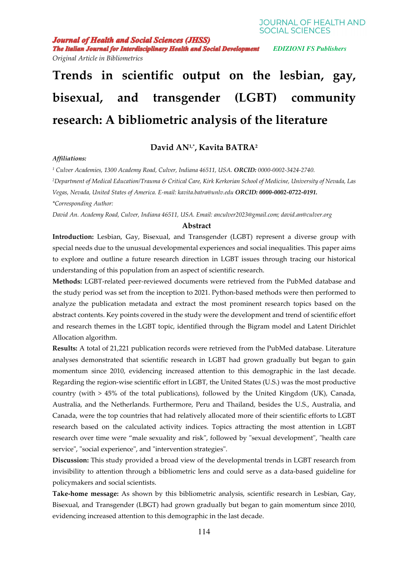**Journal of Health and Social Sciences (JHSS)** 

**The Italian Journal for Interdisciplinary Health and Social Development** EDIZIONI FS Publishers

*Original Article in Bibliometrics* 

# **Trends in scientific output on the lesbian, gay, bisexual, and transgender (LGBT) community research: A bibliometric analysis of the literature**

## **David AN1,\*, Kavita BATRA<sup>2</sup>**

#### *Affiliations:*

*1 Culver Academies, 1300 Academy Road, Culver, Indiana 46511, USA. ORCID: 0000-0002-3424-2740. <sup>2</sup>Department of Medical Education/Trauma & Critical Care, Kirk Kerkorian School of Medicine, University of Nevada, Las Vegas, Nevada, United States of America. E-mail: kavita.batra@unlv.edu ORCID: 0000-0002-0722-0191. \*Corresponding Author:* 

*David An. Academy Road, Culver, Indiana 46511, USA. Email: anculver2023@gmail.com; david.an@culver.org* 

## **Abstract**

**Introduction:** Lesbian, Gay, Bisexual, and Transgender (LGBT) represent a diverse group with special needs due to the unusual developmental experiences and social inequalities. This paper aims to explore and outline a future research direction in LGBT issues through tracing our historical understanding of this population from an aspect of scientific research.

**Methods:** LGBT-related peer-reviewed documents were retrieved from the PubMed database and the study period was set from the inception to 2021. Python-based methods were then performed to analyze the publication metadata and extract the most prominent research topics based on the abstract contents. Key points covered in the study were the development and trend of scientific effort and research themes in the LGBT topic, identified through the Bigram model and Latent Dirichlet Allocation algorithm.

**Results:** A total of 21,221 publication records were retrieved from the PubMed database. Literature analyses demonstrated that scientific research in LGBT had grown gradually but began to gain momentum since 2010, evidencing increased attention to this demographic in the last decade. Regarding the region-wise scientific effort in LGBT, the United States (U.S.) was the most productive country (with > 45% of the total publications), followed by the United Kingdom (UK), Canada, Australia, and the Netherlands. Furthermore, Peru and Thailand, besides the U.S., Australia, and Canada, were the top countries that had relatively allocated more of their scientific efforts to LGBT research based on the calculated activity indices. Topics attracting the most attention in LGBT research over time were "male sexuality and risk", followed by "sexual development", "health care service", "social experience", and "intervention strategies".

**Discussion:** This study provided a broad view of the developmental trends in LGBT research from invisibility to attention through a bibliometric lens and could serve as a data-based guideline for policymakers and social scientists.

**Take-home message:** As shown by this bibliometric analysis, scientific research in Lesbian, Gay, Bisexual, and Transgender (LBGT) had grown gradually but began to gain momentum since 2010, evidencing increased attention to this demographic in the last decade.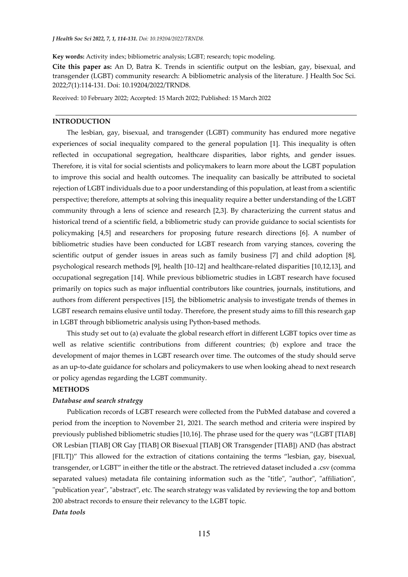**Key words:** Activity index; bibliometric analysis; LGBT; research; topic modeling.

**Cite this paper as:** An D, Batra K. Trends in scientific output on the lesbian, gay, bisexual, and transgender (LGBT) community research: A bibliometric analysis of the literature. J Health Soc Sci. 2022;7(1):114-131. Doi: 10.19204/2022/TRND8.

Received: 10 February 2022; Accepted: 15 March 2022; Published: 15 March 2022

### **INTRODUCTION**

The lesbian, gay, bisexual, and transgender (LGBT) community has endured more negative experiences of social inequality compared to the general population [1]. This inequality is often reflected in occupational segregation, healthcare disparities, labor rights, and gender issues. Therefore, it is vital for social scientists and policymakers to learn more about the LGBT population to improve this social and health outcomes. The inequality can basically be attributed to societal rejection of LGBT individuals due to a poor understanding of this population, at least from a scientific perspective; therefore, attempts at solving this inequality require a better understanding of the LGBT community through a lens of science and research [2,3]. By characterizing the current status and historical trend of a scientific field, a bibliometric study can provide guidance to social scientists for policymaking [4,5] and researchers for proposing future research directions [6]. A number of bibliometric studies have been conducted for LGBT research from varying stances, covering the scientific output of gender issues in areas such as family business [7] and child adoption [8], psychological research methods [9], health [10–12] and healthcare-related disparities [10,12,13], and occupational segregation [14]. While previous bibliometric studies in LGBT research have focused primarily on topics such as major influential contributors like countries, journals, institutions, and authors from different perspectives [15], the bibliometric analysis to investigate trends of themes in LGBT research remains elusive until today. Therefore, the present study aims to fill this research gap in LGBT through bibliometric analysis using Python-based methods.

This study set out to (a) evaluate the global research effort in different LGBT topics over time as well as relative scientific contributions from different countries; (b) explore and trace the development of major themes in LGBT research over time. The outcomes of the study should serve as an up-to-date guidance for scholars and policymakers to use when looking ahead to next research or policy agendas regarding the LGBT community.

## **METHODS**

## *Database and search strategy*

Publication records of LGBT research were collected from the PubMed database and covered a period from the inception to November 21, 2021. The search method and criteria were inspired by previously published bibliometric studies [10,16]. The phrase used for the query was "(LGBT [TIAB] OR Lesbian [TIAB] OR Gay [TIAB] OR Bisexual [TIAB] OR Transgender [TIAB]) AND (has abstract [FILT])" This allowed for the extraction of citations containing the terms "lesbian, gay, bisexual, transgender, or LGBT" in either the title or the abstract. The retrieved dataset included a .csv (comma separated values) metadata file containing information such as the "title", "author", "affiliation", "publication year", "abstract", etc. The search strategy was validated by reviewing the top and bottom 200 abstract records to ensure their relevancy to the LGBT topic. *Data tools*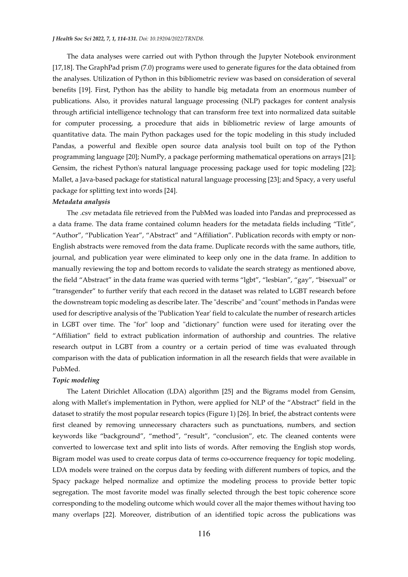#### *J Health Soc Sci 2022, 7, 1, 114-131. Doi: 10.19204/2022/TRND8.*

The data analyses were carried out with Python through the Jupyter Notebook environment [17,18]. The GraphPad prism (7.0) programs were used to generate figures for the data obtained from the analyses. Utilization of Python in this bibliometric review was based on consideration of several benefits [19]. First, Python has the ability to handle big metadata from an enormous number of publications. Also, it provides natural language processing (NLP) packages for content analysis through artificial intelligence technology that can transform free text into normalized data suitable for computer processing, a procedure that aids in bibliometric review of large amounts of quantitative data. The main Python packages used for the topic modeling in this study included Pandas, a powerful and flexible open source data analysis tool built on top of the Python programming language [20]; NumPy, a package performing mathematical operations on arrays [21]; Gensim, the richest Python's natural language processing package used for topic modeling [22]; Mallet, a Java-based package for statistical natural language processing [23]; and Spacy, a very useful package for splitting text into words [24].

#### *Metadata analysis*

The .csv metadata file retrieved from the PubMed was loaded into Pandas and preprocessed as a data frame. The data frame contained column headers for the metadata fields including "Title", "Author", "Publication Year", "Abstract" and "Affiliation". Publication records with empty or non-English abstracts were removed from the data frame. Duplicate records with the same authors, title, journal, and publication year were eliminated to keep only one in the data frame. In addition to manually reviewing the top and bottom records to validate the search strategy as mentioned above, the field "Abstract" in the data frame was queried with terms "lgbt", "lesbian", "gay", "bisexual" or "transgender" to further verify that each record in the dataset was related to LGBT research before the downstream topic modeling as describe later. The "describe" and "count" methods in Pandas were used for descriptive analysis of the 'Publication Year' field to calculate the number of research articles in LGBT over time. The "for" loop and "dictionary" function were used for iterating over the "Affiliation" field to extract publication information of authorship and countries. The relative research output in LGBT from a country or a certain period of time was evaluated through comparison with the data of publication information in all the research fields that were available in PubMed.

#### *Topic modeling*

The Latent Dirichlet Allocation (LDA) algorithm [25] and the Bigrams model from Gensim, along with Mallet's implementation in Python, were applied for NLP of the "Abstract" field in the dataset to stratify the most popular research topics (Figure 1) [26]. In brief, the abstract contents were first cleaned by removing unnecessary characters such as punctuations, numbers, and section keywords like "background", "method", "result", "conclusion", etc. The cleaned contents were converted to lowercase text and split into lists of words. After removing the English stop words, Bigram model was used to create corpus data of terms co-occurrence frequency for topic modeling. LDA models were trained on the corpus data by feeding with different numbers of topics, and the Spacy package helped normalize and optimize the modeling process to provide better topic segregation. The most favorite model was finally selected through the best topic coherence score corresponding to the modeling outcome which would cover all the major themes without having too many overlaps [22]. Moreover, distribution of an identified topic across the publications was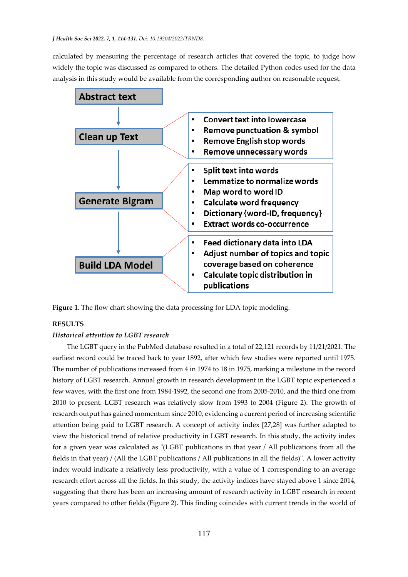calculated by measuring the percentage of research articles that covered the topic, to judge how widely the topic was discussed as compared to others. The detailed Python codes used for the data analysis in this study would be available from the corresponding author on reasonable request.



**Figure 1**. The flow chart showing the data processing for LDA topic modeling.

## **RESULTS**

## *Historical attention to LGBT research*

The LGBT query in the PubMed database resulted in a total of 22,121 records by 11/21/2021. The earliest record could be traced back to year 1892, after which few studies were reported until 1975. The number of publications increased from 4 in 1974 to 18 in 1975, marking a milestone in the record history of LGBT research. Annual growth in research development in the LGBT topic experienced a few waves, with the first one from 1984-1992, the second one from 2005-2010, and the third one from 2010 to present. LGBT research was relatively slow from 1993 to 2004 (Figure 2). The growth of research output has gained momentum since 2010, evidencing a current period of increasing scientific attention being paid to LGBT research. A concept of activity index [27,28] was further adapted to view the historical trend of relative productivity in LGBT research. In this study, the activity index for a given year was calculated as "(LGBT publications in that year / All publications from all the fields in that year) / (All the LGBT publications / All publications in all the fields)". A lower activity index would indicate a relatively less productivity, with a value of 1 corresponding to an average research effort across all the fields. In this study, the activity indices have stayed above 1 since 2014, suggesting that there has been an increasing amount of research activity in LGBT research in recent years compared to other fields (Figure 2). This finding coincides with current trends in the world of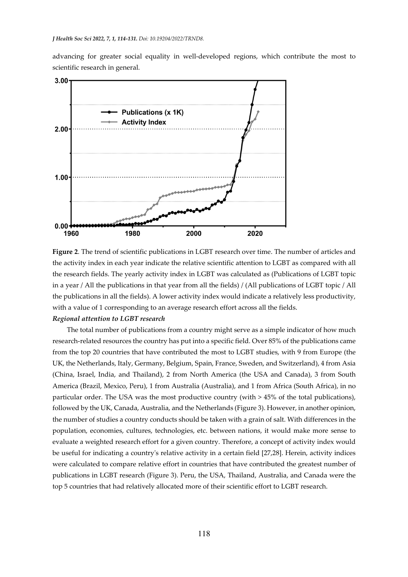advancing for greater social equality in well-developed regions, which contribute the most to scientific research in general.



**Figure 2**. The trend of scientific publications in LGBT research over time. The number of articles and the activity index in each year indicate the relative scientific attention to LGBT as compared with all the research fields. The yearly activity index in LGBT was calculated as (Publications of LGBT topic in a year / All the publications in that year from all the fields) / (All publications of LGBT topic / All the publications in all the fields). A lower activity index would indicate a relatively less productivity, with a value of 1 corresponding to an average research effort across all the fields.

## *Regional attention to LGBT research*

The total number of publications from a country might serve as a simple indicator of how much research-related resources the country has put into a specific field. Over 85% of the publications came from the top 20 countries that have contributed the most to LGBT studies, with 9 from Europe (the UK, the Netherlands, Italy, Germany, Belgium, Spain, France, Sweden, and Switzerland), 4 from Asia (China, Israel, India, and Thailand), 2 from North America (the USA and Canada), 3 from South America (Brazil, Mexico, Peru), 1 from Australia (Australia), and 1 from Africa (South Africa), in no particular order. The USA was the most productive country (with > 45% of the total publications), followed by the UK, Canada, Australia, and the Netherlands (Figure 3). However, in another opinion, the number of studies a country conducts should be taken with a grain of salt. With differences in the population, economies, cultures, technologies, etc. between nations, it would make more sense to evaluate a weighted research effort for a given country. Therefore, a concept of activity index would be useful for indicating a country's relative activity in a certain field [27,28]. Herein, activity indices were calculated to compare relative effort in countries that have contributed the greatest number of publications in LGBT research (Figure 3). Peru, the USA, Thailand, Australia, and Canada were the top 5 countries that had relatively allocated more of their scientific effort to LGBT research.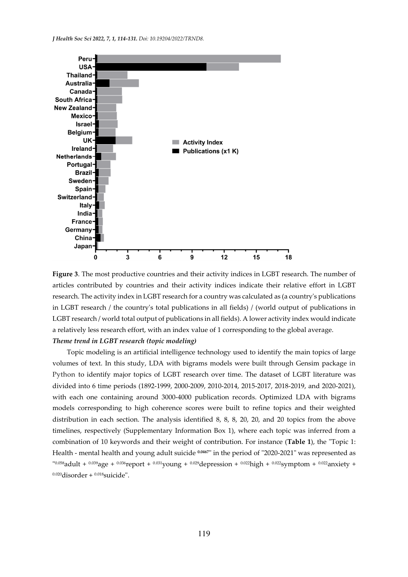

**Figure 3**. The most productive countries and their activity indices in LGBT research. The number of articles contributed by countries and their activity indices indicate their relative effort in LGBT research. The activity index in LGBT research for a country was calculated as (a country's publications in LGBT research / the country's total publications in all fields) / (world output of publications in LGBT research / world total output of publications in all fields). A lower activity index would indicate a relatively less research effort, with an index value of 1 corresponding to the global average. *Theme trend in LGBT research (topic modeling)* 

Topic modeling is an artificial intelligence technology used to identify the main topics of large volumes of text. In this study, LDA with bigrams models were built through Gensim package in Python to identify major topics of LGBT research over time. The dataset of LGBT literature was divided into 6 time periods (1892-1999, 2000-2009, 2010-2014, 2015-2017, 2018-2019, and 2020-2021), with each one containing around 3000-4000 publication records. Optimized LDA with bigrams models corresponding to high coherence scores were built to refine topics and their weighted distribution in each section. The analysis identified 8, 8, 8, 20, 20, and 20 topics from the above timelines, respectively (Supplementary Information Box 1), where each topic was inferred from a combination of 10 keywords and their weight of contribution. For instance (**Table 1**), the "Topic 1: Health - mental health and young adult suicide **0.0467**" in the period of "2020-2021" was represented as " 0.058adult + 0.039age + 0.036report + 0.031young + 0.029depression + 0.022high + 0.022symptom + 0.022anxiety +  $0.020$ disorder +  $0.018$ suicide".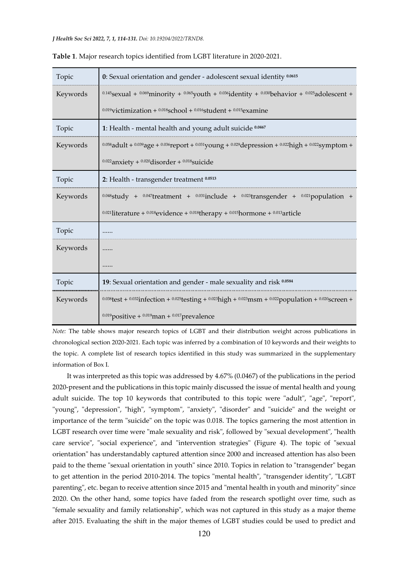| Topic    | 0: Sexual orientation and gender - adolescent sexual identity 0.0615                                                             |  |  |  |  |
|----------|----------------------------------------------------------------------------------------------------------------------------------|--|--|--|--|
| Keywords | $^{0.145}$ sexual + $^{0.069}$ minority + $^{0.065}$ youth + $^{0.036}$ identity + $^{0.030}$ behavior + $^{0.025}$ adolescent + |  |  |  |  |
|          | $0.019$ victimization + $0.018$ school + $0.016$ student + $0.015$ examine                                                       |  |  |  |  |
| Topic    | 1: Health - mental health and young adult suicide 0.0467                                                                         |  |  |  |  |
| Keywords | 0.058 adult + 0.039 age + 0.036 report + 0.031 young + 0.029 depression + 0.022 high + 0.022 symptom +                           |  |  |  |  |
|          | $0.022$ anxiety + $0.020$ disorder + $0.018$ suicide                                                                             |  |  |  |  |
| Topic    | 2: Health - transgender treatment 0.0513                                                                                         |  |  |  |  |
| Keywords | $0.048$ study + $0.047$ treatment + $0.031$ include + $0.023$ transgender + $0.021$ population +                                 |  |  |  |  |
|          | $0.021$ literature + $0.018$ evidence + $0.018$ therapy + $0.015$ hormone + $0.013$ article                                      |  |  |  |  |
| Topic    |                                                                                                                                  |  |  |  |  |
| Keywords |                                                                                                                                  |  |  |  |  |
|          |                                                                                                                                  |  |  |  |  |
| Topic    | 19: Sexual orientation and gender - male sexuality and risk 0.0584                                                               |  |  |  |  |
| Keywords | $0.038$ test + $0.032$ infection + $0.025$ testing + $0.023$ high + $0.023$ msm + $0.022$ population + $0.020$ screen +          |  |  |  |  |
|          | $0.019$ positive + $0.019$ man + $0.017$ prevalence                                                                              |  |  |  |  |

|  |  | <b>Table 1.</b> Major research topics identified from LGBT literature in 2020-2021. |
|--|--|-------------------------------------------------------------------------------------|
|  |  |                                                                                     |

*Note:* The table shows major research topics of LGBT and their distribution weight across publications in chronological section 2020-2021. Each topic was inferred by a combination of 10 keywords and their weights to the topic. A complete list of research topics identified in this study was summarized in the supplementary information of Box I.

It was interpreted as this topic was addressed by 4.67% (0.0467) of the publications in the period 2020-present and the publications in this topic mainly discussed the issue of mental health and young adult suicide. The top 10 keywords that contributed to this topic were "adult", "age", "report", "young", "depression", "high", "symptom", "anxiety", "disorder" and "suicide" and the weight or importance of the term "suicide" on the topic was 0.018. The topics garnering the most attention in LGBT research over time were "male sexuality and risk", followed by "sexual development", "health care service", "social experience", and "intervention strategies" (Figure 4). The topic of "sexual orientation" has understandably captured attention since 2000 and increased attention has also been paid to the theme "sexual orientation in youth" since 2010. Topics in relation to "transgender" began to get attention in the period 2010-2014. The topics "mental health", "transgender identity", "LGBT parenting", etc. began to receive attention since 2015 and "mental health in youth and minority" since 2020. On the other hand, some topics have faded from the research spotlight over time, such as "female sexuality and family relationship", which was not captured in this study as a major theme after 2015. Evaluating the shift in the major themes of LGBT studies could be used to predict and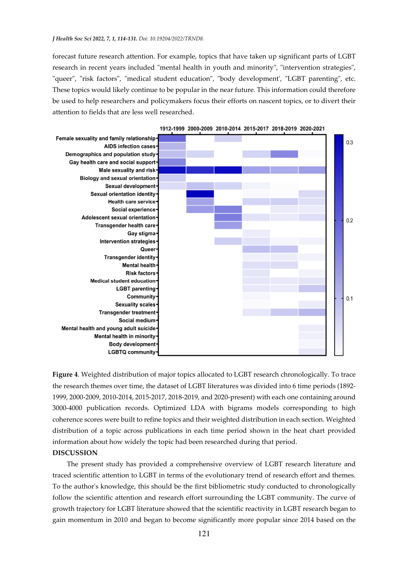#### *J Health Soc Sci 2022, 7, 1, 114-131. Doi: 10.19204/2022/TRND8.*

forecast future research attention. For example, topics that have taken up significant parts of LGBT research in recent years included "mental health in youth and minority", "intervention strategies", "queer", "risk factors", "medical student education", "body development', "LGBT parenting", etc. These topics would likely continue to be popular in the near future. This information could therefore be used to help researchers and policymakers focus their efforts on nascent topics, or to divert their attention to fields that are less well researched.



1912-1999 2000-2009 2010-2014 2015-2017 2018-2019 2020-2021

**Figure 4**. Weighted distribution of major topics allocated to LGBT research chronologically. To trace the research themes over time, the dataset of LGBT literatures was divided into 6 time periods (1892- 1999, 2000-2009, 2010-2014, 2015-2017, 2018-2019, and 2020-present) with each one containing around 3000-4000 publication records. Optimized LDA with bigrams models corresponding to high coherence scores were built to refine topics and their weighted distribution in each section. Weighted distribution of a topic across publications in each time period shown in the heat chart provided information about how widely the topic had been researched during that period.

**DISCUSSION** 

The present study has provided a comprehensive overview of LGBT research literature and traced scientific attention to LGBT in terms of the evolutionary trend of research effort and themes. To the author's knowledge, this should be the first bibliometric study conducted to chronologically follow the scientific attention and research effort surrounding the LGBT community. The curve of growth trajectory for LGBT literature showed that the scientific reactivity in LGBT research began to gain momentum in 2010 and began to become significantly more popular since 2014 based on the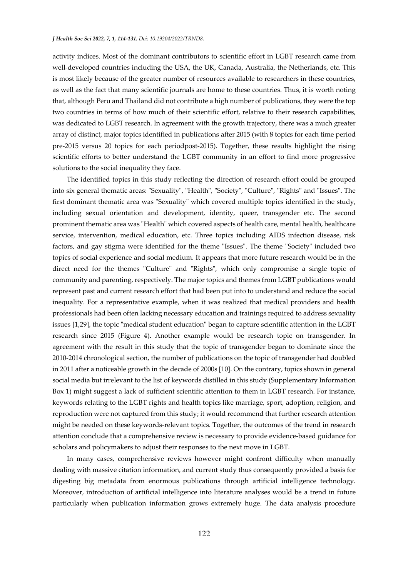#### *J Health Soc Sci 2022, 7, 1, 114-131. Doi: 10.19204/2022/TRND8.*

activity indices. Most of the dominant contributors to scientific effort in LGBT research came from well-developed countries including the USA, the UK, Canada, Australia, the Netherlands, etc. This is most likely because of the greater number of resources available to researchers in these countries, as well as the fact that many scientific journals are home to these countries. Thus, it is worth noting that, although Peru and Thailand did not contribute a high number of publications, they were the top two countries in terms of how much of their scientific effort, relative to their research capabilities, was dedicated to LGBT research. In agreement with the growth trajectory, there was a much greater array of distinct, major topics identified in publications after 2015 (with 8 topics for each time period pre-2015 versus 20 topics for each periodpost-2015). Together, these results highlight the rising scientific efforts to better understand the LGBT community in an effort to find more progressive solutions to the social inequality they face.

The identified topics in this study reflecting the direction of research effort could be grouped into six general thematic areas: "Sexuality", "Health", "Society", "Culture", "Rights" and "Issues". The first dominant thematic area was "Sexuality" which covered multiple topics identified in the study, including sexual orientation and development, identity, queer, transgender etc. The second prominent thematic area was "Health" which covered aspects of health care, mental health, healthcare service, intervention, medical education, etc. Three topics including AIDS infection disease, risk factors, and gay stigma were identified for the theme "Issues". The theme "Society" included two topics of social experience and social medium. It appears that more future research would be in the direct need for the themes "Culture" and "Rights", which only compromise a single topic of community and parenting, respectively. The major topics and themes from LGBT publications would represent past and current research effort that had been put into to understand and reduce the social inequality. For a representative example, when it was realized that medical providers and health professionals had been often lacking necessary education and trainings required to address sexuality issues [1,29], the topic "medical student education" began to capture scientific attention in the LGBT research since 2015 (Figure 4). Another example would be research topic on transgender. In agreement with the result in this study that the topic of transgender began to dominate since the 2010-2014 chronological section, the number of publications on the topic of transgender had doubled in 2011 after a noticeable growth in the decade of 2000s [10]. On the contrary, topics shown in general social media but irrelevant to the list of keywords distilled in this study (Supplementary Information Box 1) might suggest a lack of sufficient scientific attention to them in LGBT research. For instance, keywords relating to the LGBT rights and health topics like marriage, sport, adoption, religion, and reproduction were not captured from this study; it would recommend that further research attention might be needed on these keywords-relevant topics. Together, the outcomes of the trend in research attention conclude that a comprehensive review is necessary to provide evidence-based guidance for scholars and policymakers to adjust their responses to the next move in LGBT.

In many cases, comprehensive reviews however might confront difficulty when manually dealing with massive citation information, and current study thus consequently provided a basis for digesting big metadata from enormous publications through artificial intelligence technology. Moreover, introduction of artificial intelligence into literature analyses would be a trend in future particularly when publication information grows extremely huge. The data analysis procedure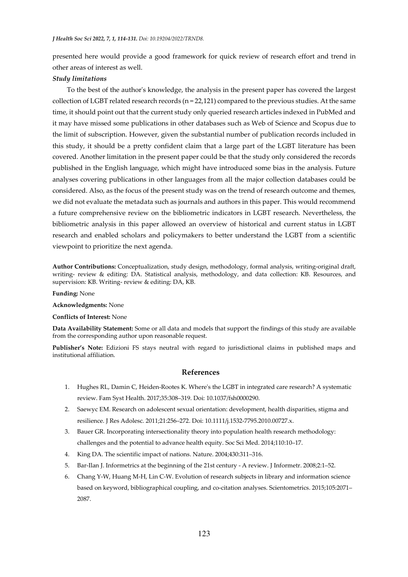presented here would provide a good framework for quick review of research effort and trend in other areas of interest as well.

#### *Study limitations*

To the best of the author's knowledge, the analysis in the present paper has covered the largest collection of LGBT related research records (n = 22,121) compared to the previous studies. At the same time, it should point out that the current study only queried research articles indexed in PubMed and it may have missed some publications in other databases such as Web of Science and Scopus due to the limit of subscription. However, given the substantial number of publication records included in this study, it should be a pretty confident claim that a large part of the LGBT literature has been covered. Another limitation in the present paper could be that the study only considered the records published in the English language, which might have introduced some bias in the analysis. Future analyses covering publications in other languages from all the major collection databases could be considered. Also, as the focus of the present study was on the trend of research outcome and themes, we did not evaluate the metadata such as journals and authors in this paper. This would recommend a future comprehensive review on the bibliometric indicators in LGBT research. Nevertheless, the bibliometric analysis in this paper allowed an overview of historical and current status in LGBT research and enabled scholars and policymakers to better understand the LGBT from a scientific viewpoint to prioritize the next agenda.

**Author Contributions:** Conceptualization, study design, methodology, formal analysis, writing-original draft, writing- review & editing: DA. Statistical analysis, methodology, and data collection: KB. Resources, and supervision: KB. Writing- review & editing: DA, KB.

**Funding:** None

**Acknowledgments:** None

#### **Conflicts of Interest:** None

**Data Availability Statement:** Some or all data and models that support the findings of this study are available from the corresponding author upon reasonable request.

**Publisher's Note:** Edizioni FS stays neutral with regard to jurisdictional claims in published maps and institutional affiliation.

## **References**

- 1. Hughes RL, Damin C, Heiden-Rootes K. Where's the LGBT in integrated care research? A systematic review. Fam Syst Health. 2017;35:308–319. Doi: 10.1037/fsh0000290.
- 2. Saewyc EM. Research on adolescent sexual orientation: development, health disparities, stigma and resilience. J Res Adolesc. 2011;21:256–272. Doi: 10.1111/j.1532-7795.2010.00727.x.
- 3. Bauer GR. Incorporating intersectionality theory into population health research methodology: challenges and the potential to advance health equity. Soc Sci Med. 2014;110:10–17.
- 4. King DA. The scientific impact of nations. Nature. 2004;430:311–316.
- 5. Bar-Ilan J. Informetrics at the beginning of the 21st century A review. J Informetr. 2008;2:1–52.
- 6. Chang Y-W, Huang M-H, Lin C-W. Evolution of research subjects in library and information science based on keyword, bibliographical coupling, and co-citation analyses. Scientometrics. 2015;105:2071– 2087.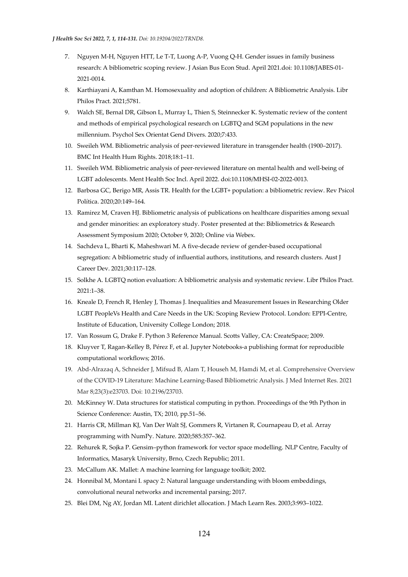- 7. Nguyen M-H, Nguyen HTT, Le T-T, Luong A-P, Vuong Q-H. Gender issues in family business research: A bibliometric scoping review. J Asian Bus Econ Stud. April 2021.doi: 10.1108/JABES-01- 2021-0014.
- 8. Karthiayani A, Kamthan M. Homosexuality and adoption of children: A Bibliometric Analysis. Libr Philos Pract. 2021;5781.
- 9. Walch SE, Bernal DR, Gibson L, Murray L, Thien S, Steinnecker K. Systematic review of the content and methods of empirical psychological research on LGBTQ and SGM populations in the new millennium. Psychol Sex Orientat Gend Divers. 2020;7:433.
- 10. Sweileh WM. Bibliometric analysis of peer-reviewed literature in transgender health (1900–2017). BMC Int Health Hum Rights. 2018;18:1–11.
- 11. Sweileh WM. Bibliometric analysis of peer-reviewed literature on mental health and well-being of LGBT adolescents. Ment Health Soc Incl. April 2022. doi:10.1108/MHSI-02-2022-0013.
- 12. Barbosa GC, Berigo MR, Assis TR. Health for the LGBT+ population: a bibliometric review. Rev Psicol Política. 2020;20:149–164.
- 13. Ramirez M, Craven HJ. Bibliometric analysis of publications on healthcare disparities among sexual and gender minorities: an exploratory study. Poster presented at the: Bibliometrics & Research Assessment Symposium 2020; October 9, 2020; Online via Webex.
- 14. Sachdeva L, Bharti K, Maheshwari M. A five-decade review of gender-based occupational segregation: A bibliometric study of influential authors, institutions, and research clusters. Aust J Career Dev. 2021;30:117–128.
- 15. Solkhe A. LGBTQ notion evaluation: A bibliometric analysis and systematic review. Libr Philos Pract. 2021:1–38.
- 16. Kneale D, French R, Henley J, Thomas J. Inequalities and Measurement Issues in Researching Older LGBT PeopleVs Health and Care Needs in the UK: Scoping Review Protocol. London: EPPI-Centre, Institute of Education, University College London; 2018.
- 17. Van Rossum G, Drake F. Python 3 Reference Manual. Scotts Valley, CA: CreateSpace; 2009.
- 18. Kluyver T, Ragan-Kelley B, Pérez F, et al. Jupyter Notebooks-a publishing format for reproducible computational workflows; 2016.
- 19. Abd-Alrazaq A, Schneider J, Mifsud B, Alam T, Househ M, Hamdi M, et al. Comprehensive Overview of the COVID-19 Literature: Machine Learning-Based Bibliometric Analysis. J Med Internet Res. 2021 Mar 8;23(3):e23703. Doi: 10.2196/23703.
- 20. McKinney W. Data structures for statistical computing in python. Proceedings of the 9th Python in Science Conference: Austin, TX; 2010, pp.51–56.
- 21. Harris CR, Millman KJ, Van Der Walt SJ, Gommers R, Virtanen R, Cournapeau D, et al. Array programming with NumPy. Nature. 2020;585:357–362.
- 22. Rehurek R, Sojka P. Gensim–python framework for vector space modelling. NLP Centre, Faculty of Informatics, Masaryk University, Brno, Czech Republic; 2011.
- 23. McCallum AK. Mallet: A machine learning for language toolkit; 2002.
- 24. Honnibal M, Montani I. spacy 2: Natural language understanding with bloom embeddings, convolutional neural networks and incremental parsing; 2017.
- 25. Blei DM, Ng AY, Jordan MI. Latent dirichlet allocation. J Mach Learn Res. 2003;3:993–1022.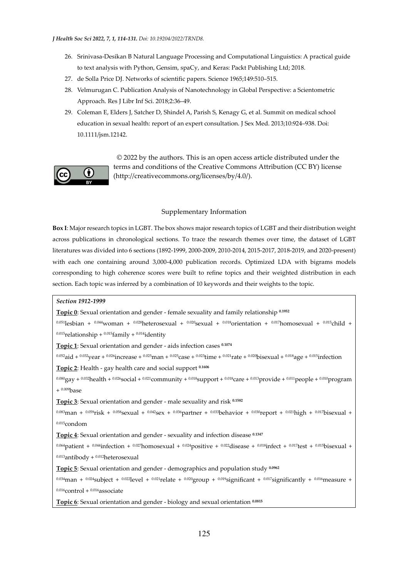- 26. Srinivasa-Desikan B Natural Language Processing and Computational Linguistics: A practical guide to text analysis with Python, Gensim, spaCy, and Keras: Packt Publishing Ltd; 2018.
- 27. de Solla Price DJ. Networks of scientific papers. Science 1965;149:510–515.
- 28. Velmurugan C. Publication Analysis of Nanotechnology in Global Perspective: a Scientometric Approach. Res J Libr Inf Sci. 2018;2:36–49.
- 29. Coleman E, Elders J, Satcher D, Shindel A, Parish S, Kenagy G, et al. Summit on medical school education in sexual health: report of an expert consultation. J Sex Med. 2013;10:924–938. Doi: 10.1111/jsm.12142.



 © 2022 by the authors. This is an open access article distributed under the terms and conditions of the Creative Commons Attribution (CC BY) license (http://creativecommons.org/licenses/by/4.0/).

## Supplementary Information

**Box I**: Major research topics in LGBT. The box shows major research topics of LGBT and their distribution weight across publications in chronological sections. To trace the research themes over time, the dataset of LGBT literatures was divided into 6 sections (1892-1999, 2000-2009, 2010-2014, 2015-2017, 2018-2019, and 2020-present) with each one containing around 3,000-4,000 publication records. Optimized LDA with bigrams models corresponding to high coherence scores were built to refine topics and their weighted distribution in each section. Each topic was inferred by a combination of 10 keywords and their weights to the topic.

# *Section 1912-1999*

**Topic 0**: Sexual orientation and gender - female sexuality and family relationship **0.1952**

0.051]esbian + 0.044woman + 0.028heterosexual + 0.020sexual + 0.018orientation + 0.017homosexual + 0.015child +  $0.015$ relationship +  $0.015$ family +  $0.014$ identity

**Topic 1**: Sexual orientation and gender - aids infection cases **0.1074**

0.052aid + 0.032 year + 0.026 increase + 0.025 man + 0.025 case + 0.023 time + 0.021 rate + 0.020 bisexual + 0.018 age + 0.015 infection

**Topic 2**: Health - gay health care and social support **0.1606**

 $0.080$ gay +  $0.032$ health +  $0.026$ social +  $0.021$ community +  $0.018$ support +  $0.018$ care +  $0.013$ provide +  $0.011$ people +  $0.010$ program  $+ 0.009$ base

**Topic 3**: Sexual orientation and gender - male sexuality and risk **0.1582**

0.083man + 0.059risk + 0.058sexual + 0.042sex + 0.036partner + 0.033behavior + 0.030report + 0.021high + 0.017bisexual +  $0.015$ condom

**Topic 4**: Sexual orientation and gender - sexuality and infection disease **0.1347**

0.064patient + 0.044infection + 0.027homosexual + 0.024positive + 0.022disease + 0.018infect + 0.017test + 0.015bisexual +  $0.013$ antibody +  $0.012$ heterosexual

**Topic 5**: Sexual orientation and gender - demographics and population study **0.0962**

 $0.034$ man +  $0.024$ subject +  $0.022$ ]evel +  $0.021$ relate +  $0.020$ group +  $0.019$ significant +  $0.017$ significantly +  $0.016$ measure +  $0.016$ control +  $0.016$ associate

**Topic 6**: Sexual orientation and gender - biology and sexual orientation **0.0815**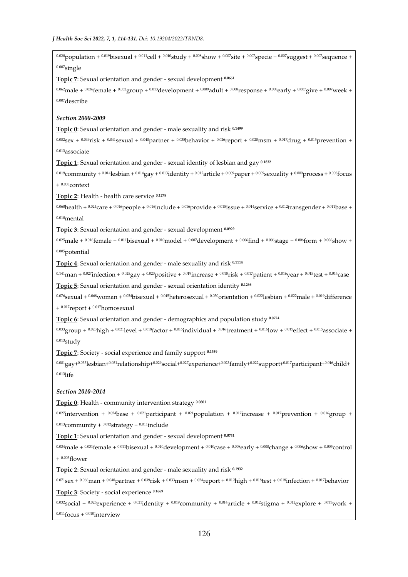0.020 population + 0.019 bisexual + 0.011 cell + 0.010 study + 0.008 show + 0.007 site + 0.007 specie + 0.007 suggest + 0.007 sequence +  $0.007$ single **Topic 7**: Sexual orientation and gender - sexual development **0.0661**  $0.062$ male +  $0.036$ female +  $0.032$ group +  $0.013$ development +  $0.009$ adult +  $0.008$ response +  $0.008$ early +  $0.007$ give +  $0.007$ week + 0.007describe *Section 2000-2009*  **Topic 0**: Sexual orientation and gender - male sexuality and risk **0.1499**  $0.082$ sex +  $0.049$ risk +  $0.041$ sexual +  $0.040$ partner +  $0.035$ behavior +  $0.026$ report +  $0.020$ msm +  $0.017$ drug +  $0.015$ prevention + 0.013associate **Topic 1**: Sexual orientation and gender - sexual identity of lesbian and gay **0.1832**

0.019community + 0.014lesbian + 0.014gay + 0.013identity + 0.012article + 0.009paper + 0.009sexuality + 0.009process + 0.008focus  $+$ <sup>0.008</sup>context

**Topic 2**: Health - health care service **0.1278**

0.060health + 0.024care + 0.016people + 0.016include + 0.016provide + 0.015issue + 0.014service + 0.012transgender + 0.011base +  $0.010$ mental

**Topic 3**: Sexual orientation and gender - sexual development **0.0929**

 $0.025$ male +  $0.016$ female +  $0.011$ bisexual +  $0.010$ model +  $0.007$ development +  $0.006$ find +  $0.006$ stage +  $0.006$ form +  $0.006$ show + 0.005potential

**Topic 4**: Sexual orientation and gender - male sexuality and risk **0.1114**

 $0.141$ man +  $0.027$ infection +  $0.025$ gay +  $0.023$ positive +  $0.019$ increase +  $0.018$ risk +  $0.017$ patient +  $0.016$ year +  $0.015$ test +  $0.014$ case

**Topic 5**: Sexual orientation and gender - sexual orientation identity **0.1266**

 $0.076$ sexual +  $0.068$ woman +  $0.054$ bisexual +  $0.045$ heterosexual +  $0.030$ orientation +  $0.022$ lesbian +  $0.022$ male +  $0.019$ difference + 0.017report + 0.017homosexual

**Topic 6**: Sexual orientation and gender - demographics and population study **0.0724**

 $0.033$ group +  $0.023$ high +  $0.021$  evel +  $0.018$  factor +  $0.016$  individual +  $0.016$  treatment +  $0.016$  low +  $0.015$  effect +  $0.015$  associate +  $0.013$ study

**Topic 7**: Society - social experience and family support **0.1359**

 $0.081$ gay+ $0.033$ lesbian+ $0.031$ relationship+ $0.029$ social+ $0.022$ experience+ $0.023$ family+ $0.022$ support+ $0.017$ participant+ $0.016$ child+ 0.013life

*Section 2010-2014* 

**Topic 0**: Health - community intervention strategy **0.0801**

0.027intervention + 0.024base + 0.021participant + 0.021population + 0.017increase + 0.017prevention + 0.016group +  $0.013$ community +  $0.012$ strategy +  $0.011$ include

**Topic 1**: Sexual orientation and gender - sexual development **0.0741**

 $0.034$ male +  $0.031$ female +  $0.011$ bisexual +  $0.010$ development +  $0.010$ case +  $0.008$ early +  $0.008$ change +  $0.006$ show +  $0.005$ control  $+$ <sup>0.005</sup>flower

**Topic 2**: Sexual orientation and gender - male sexuality and risk **0.1932**

 $0.071$ sex +  $0.066$ man +  $0.040$ partner +  $0.039$ risk +  $0.033$ msm +  $0.024$ report +  $0.019$ high +  $0.018$ test +  $0.018$ infection +  $0.017$ behavior

**Topic 3**: Society - social experience **0.1669**

0.032social + 0.025experience + 0.021identity + 0.019community + 0.014article + 0.012stigma + 0.012explore + 0.011work +  $0.011$ focus +  $0.010$ interview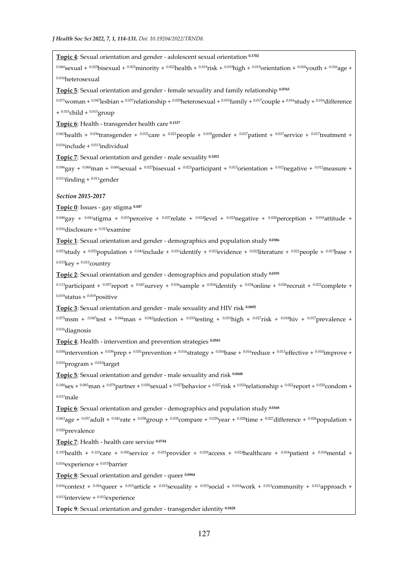**Topic 4**: Sexual orientation and gender - adolescent sexual orientation **0.1702**

 $0.060$ sexual +  $0.025$ bisexual +  $0.025$ minority +  $0.022$ health +  $0.019$ risk +  $0.019$ rientation +  $0.018$ youth +  $0.016$ age + 0.016heterosexual

**Topic 5**: Sexual orientation and gender - female sexuality and family relationship **0.0765**

0.071woman + 0.047lesbian + 0.037relationship + 0.029heterosexual + 0.019family + 0.017couple + 0.016study + 0.016difference +  $0.015$ child +  $0.015$ group

**Topic 6**: Health - transgender health care **0.1337**

 $0.063$ health +  $0.036$ transgender +  $0.032$ care +  $0.021$ people +  $0.019$ gender +  $0.017$ patient +  $0.017$ service +  $0.017$ treatment +  $0.016$ include +  $0.013$ individual

**Topic 7**: Sexual orientation and gender - male sexuality **0.1052**

0.096gay + 0.060man + 0.060sexual + 0.027bisexual + 0.023participant + 0.013orientation + 0.012 negative + 0.012 measure +  $0.011$ finding +  $0.011$ gender

*Section 2015-2017* 

**Topic 0**: Issues - gay stigma **0.047**

0.048gay + 0.041stigma + 0.033perceive + 0.027relate + 0.024level + 0.023negative + 0.020perception + 0.018attitude +  $0.016$ disclosure +  $0.015$ examine

**Topic 1**: Sexual orientation and gender - demographics and population study **0.0386**

0.053study + 0.053population + 0.043include + 0.031identify + 0.023evidence + 0.022literature + 0.021people + 0.017base +  $0.015$ key +  $0.015$ country

**Topic 2**: Sexual orientation and gender - demographics and population study **0.0195**

0.113participant + 0.057report + 0.047survey + 0.036sample + 0.034identify + 0.034online + 0.026recruit + 0.022complete +  $0.019$ status +  $0.019$ positive

**Topic 3**: Sexual orientation and gender - male sexuality and HIV risk **0.0692**

 $0.075$ msm +  $0.047$ test +  $0.044$ man +  $0.042$ infection +  $0.033$ testing +  $0.031$ high +  $0.027$ risk +  $0.018$ hiv +  $0.017$ prevalence + 0.016diagnosis

**Topic 4**: Health - intervention and prevention strategies **0.0581**

0.058intervention + 0.039 prep + 0.031 prevention + 0.016 strategy + 0.016 pase + 0.016 reduce + 0.013 effective + 0.010 improve +  $0.010$ program +  $0.010$ target

**Topic 5**: Sexual orientation and gender - male sexuality and risk **0.0608**

 $0.180$ <sub>Sex</sub> +  $0.083$ man +  $0.079$ partner +  $0.050$ <sub>Sexual</sub> +  $0.027$ behavior +  $0.027$ risk +  $0.024$ relationship +  $0.022$ report +  $0.020$ condom +  $0.017$ male

**Topic 6**: Sexual orientation and gender - demographics and population study **0.0168**

 $0.063$ age +  $0.057$ adult +  $0.041$ rate +  $0.038$ group +  $0.035$ compare +  $0.029$ year +  $0.028$ time +  $0.027$ difference +  $0.026$ population + 0.020prevalence

**Topic 7**: Health - health care service **0.0744**

0.197health + 0.103care + 0.050service + 0.033provider + 0.029access + 0.024healthcare + 0.018patient + 0.018mental +  $0.016$ experience +  $0.015$ barrier

**Topic 8**: Sexual orientation and gender - queer **0.0964**

0.016context + 0.016queer + 0.015article + 0.015sexuality + 0.015social + 0.014work + 0.013community + 0.013approach +  $0.013$ interview +  $0.012$ experience

**Topic 9**: Sexual orientation and gender - transgender identity **0.0428**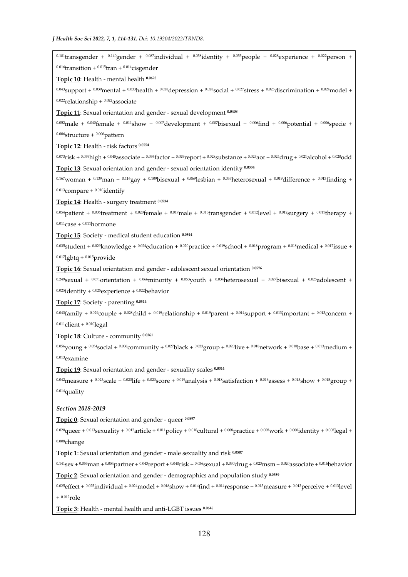0.181transgender + 0.140gender + 0.087individual + 0.058jdentity + 0.055people + 0.028experience + 0.022person +  $0.016$ transition +  $0.015$ tran +  $0.014$ cisgender **Topic 10**: Health - mental health **0.0623**  $0.043$ support +  $0.039$ mental +  $0.033$ health +  $0.028$ depression +  $0.028$ social +  $0.027$ stress +  $0.025$ discrimination +  $0.024$ model +  $0.022$ relationship +  $0.022$ associate **Topic 11**: Sexual orientation and gender - sexual development **0.0408** 0.052male + 0.040female + 0.011show + 0.007development + 0.007bisexual + 0.006find + 0.006potential + 0.006specie +  $0.006$ structure +  $0.006$ pattern **Topic 12**: Health - risk factors **0.0554**  $0.073$ risk +  $0.059$ high +  $0.045$ associate +  $0.036$ factor +  $0.029$ report +  $0.028$ substance +  $0.025$ aor +  $0.024$ drug +  $0.021$ alcohol +  $0.020$ odd **Topic 13**: Sexual orientation and gender - sexual orientation identity **0.0334** 0.167woman + 0.139man + 0.116gay + 0.109bisexual + 0.069lesbian + 0.053heterosexual + 0.019difference + 0.013finding +  $0.013$ compare +  $0.010$ identify **Topic 14**: Health - surgery treatment **0.0534** 0.054patient + 0.036treatment + 0.020female + 0.017male + 0.013transgender + 0.012level + 0.012surgery + 0.011therapy +  $0.011$ case +  $0.011$ hormone **Topic 15**: Society - medical student education **0.0544** 0.035student + 0.029knowledge + 0.024education + 0.020practice + 0.019school + 0.018program + 0.018medical + 0.017issue +  $0.017$ lgbtq +  $0.015$ provide **Topic 16**: Sexual orientation and gender - adolescent sexual orientation **0.0576** 0.249sexual + 0.071 orientation + 0.066 minority + 0.053 youth + 0.034 heterosexual + 0.027 bisexual + 0.025 adolescent +  $^{0.025}$ identity +  $^{0.025}$  experience +  $^{0.022}$  behavior **Topic 17**: Society - parenting **0.0514** 0.043family + 0.029couple + 0.028child + 0.019relationship + 0.019parent + 0.014support + 0.013important + 0.013concern +  $0.011$ client +  $0.010$ legal **Topic 18**: Culture - community **0.0361**  $0.056$ young +  $0.054$ social +  $0.038$ community +  $0.027$ black +  $0.023$ group +  $0.020$ live +  $0.018$ network +  $0.018$ base +  $0.013$ medium + 0.013examine **Topic 19**: Sexual orientation and gender - sexuality scales **0.0314**  $0.042$ measure +  $0.023$ scale +  $0.023$ life +  $0.020$ score +  $0.019$ analysis +  $0.018$ satisfaction +  $0.016$ assess +  $0.015$ show +  $0.015$ group + 0.014quality *Section 2018-2019*  **Topic 0**: Sexual orientation and gender - queer **0.0897**  $0.020$ queer +  $0.013$ sexuality +  $0.012$ article +  $0.011$ policy +  $0.010$ cultural +  $0.008$ practice +  $0.008$ work +  $0.008$ identity +  $0.008$ legal + 0.008change **Topic 1**: Sexual orientation and gender - male sexuality and risk **0.0507**  $0.141$ sex +  $0.055$ man +  $0.054$ partner +  $0.043$ report +  $0.040$ risk +  $0.036$ sexual +  $0.030$ drug +  $0.023$ msm +  $0.020$ associate +  $0.016$ behavior **Topic 2**: Sexual orientation and gender - demographics and population study **0.0359** 0.025effect + 0.025individual + 0.024model + 0.018show + 0.014find + 0.014 response + 0.013 measure + 0.013 perceive + 0.013 level  $+$   $^{0.012}$ role

**Topic 3**: Health - mental health and anti-LGBT issues **0.0646**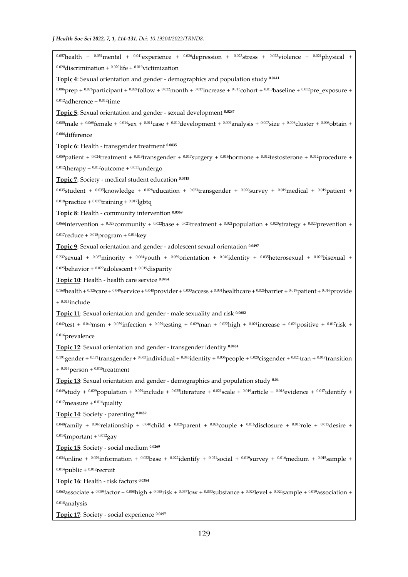0.057health + 0.051mental + 0.041experience + 0.026depression + 0.023stress + 0.023yiolence + 0.021physical +  $0.020$ discrimination +  $0.020$ life +  $0.019$ victimization **Topic 4**: Sexual orientation and gender - demographics and population study **0.0441**  $0.086$ prep +  $0.076$ participant +  $0.024$ follow +  $0.022$ month +  $0.017$ increase +  $0.013$ cohort +  $0.013$ baseline +  $0.012$ pre\_exposure +  $0.012$ adherence +  $0.012$ time **Topic 5**: Sexual orientation and gender - sexual development **0.0287**  $0.085$ male +  $0.068$ female +  $0.014$ sex +  $0.011$ case +  $0.010$ development +  $0.009$ analysis +  $0.007$ size +  $0.006$ cluster +  $0.006$ obtain + 0.006difference **Topic 6**: Health - transgender treatment **0.0835** 0.059patient + 0.024treatment + 0.019transgender + 0.017surgery + 0.016hormone + 0.012testosterone + 0.012procedure +  $0.012$ therapy +  $0.012$ outcome +  $0.011$ undergo **Topic 7**: Society - medical student education **0.0515** 0.035student + 0.035knowledge + 0.028education + 0.023transgender + 0.020survey + 0.019medical + 0.019patient +  $0.018$ practice +  $0.017$ training +  $0.017$ lgbtq **Topic 8**: Health - community intervention **0.0369** 0.066intervention + 0.028community + 0.022base + 0.021treatment + 0.021population + 0.020strategy + 0.020prevention +  $0.017$ reduce +  $0.015$ program +  $0.014$ key **Topic 9**: Sexual orientation and gender - adolescent sexual orientation **0.0497** 0.232<sub>Sexual</sub> + 0.087<sub>minority</sub> + 0.064<sub>youth</sub> + 0.059<sub>orientation</sub> + 0.040<sub>i</sub>dentity + 0.035heterosexual + 0.029bisexual +  $0.025$ behavior +  $0.022$ adolescent +  $0.019$ disparity **Topic 10**: Health - health care service **0.0784** 0.160health + 0.126care + 0.049service + 0.040provider + 0.033 access + 0.031healthcare + 0.026barrier + 0.019patient + 0.016provide + 0.013include **Topic 11**: Sexual orientation and gender - male sexuality and risk **0.0682**  $0.042$ test +  $0.040$ msm +  $0.039$ infection +  $0.029$ testing +  $0.029$ man +  $0.022$ high +  $0.021$ increase +  $0.021$ positive +  $0.017$ risk + 0.016prevalence **Topic 12**: Sexual orientation and gender - transgender identity **0.0464** 0.191gender + 0.171 transgender + 0.063individual + 0.045identity + 0.036people + 0.028cisgender + 0.021 tran + 0.017 transition  $+$  0.016 person  $+$  0.015 treatment **Topic 13**: Sexual orientation and gender - demographics and population study **0.04** 0.049study + 0.029population + 0.029include + 0.025literature + 0.021scale + 0.019article + 0.018evidence + 0.017identify +  $0.017$ measure +  $0.014$ quality **Topic 14**: Society - parenting **0.0489**  $0.048$ family +  $0.046$ relationship +  $0.040$ child +  $0.026$ parent +  $0.024$ couple +  $0.016$ disclosure +  $0.015$ role +  $0.015$ desire +  $0.014$ important +  $0.012$ gay **Topic 15**: Society - social medium **0.0269** 0.034<sub>online</sub> + 0.029<sub>information</sub> + 0.022<sub>base</sub> + 0.022<sub>identify</sub> + 0.02<sub>1</sub><sub>social</sub> + 0.019<sub>survey</sub> + 0.016<sub>medium</sub> + 0.01<sub>5</sub>sample +  $0.014$ public +  $0.012$ recruit **Topic 16**: Health - risk factors **0.0384** 0.063associate + 0.059factor + 0.058high + 0.055risk + 0.037low + 0.030substance + 0.028level + 0.020sample + 0.019association + 0.018analysis

**Topic 17**: Society - social experience **0.0497**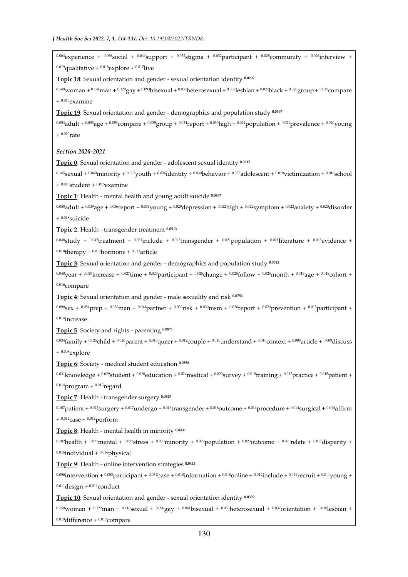0.064 experience + 0.056 social + 0.040 support + 0.032 stigma + 0.032 participant + 0.028 community + 0.026 interview +  $0.019$ qualitative +  $0.018$ explore +  $0.017$ live

**Topic 18**: Sexual orientation and gender - sexual orientation identity **0.0297**

 $0.149$ woman +  $0.144$ man +  $0.120$ gay +  $0.093$ bisexual +  $0.038$ heterosexual +  $0.037$ lesbian +  $0.022$ black +  $0.020$ group +  $0.015$ compare +  $0.015$ examine

**Topic 19**: Sexual orientation and gender - demographics and population study **0.0397**

0.054adult + 0.053age + 0.053compare + 0.035group + 0.034report + 0.030high + 0.024population + 0.021prevalence + 0.020young  $+ 0.020$ rate

*Section 2020-2021* 

**Topic 0**: Sexual orientation and gender - adolescent sexual identity **0.0615**

 $0.145$ sexual +  $0.069$ minority +  $0.065$ youth +  $0.036$ identity +  $0.030$ behavior +  $0.025$ adolescent +  $0.019$ victimization +  $0.018$ school  $+$   $^{0.016}$ student +  $^{0.015}$ examine

**Topic 1**: Health - mental health and young adult suicide **0.0467**

0.058adult + 0.039age + 0.036report + 0.031young + 0.029depression + 0.022high + 0.022symptom + 0.022anxiety + 0.020disorder + 0.018suicide

**Topic 2**: Health - transgender treatment **0.0513**

0.048study +  $0.047$ treatment +  $0.031$ include +  $0.023$ transgender +  $0.021$ population +  $0.021$ literature +  $0.018$ evidence +  $0.018$ therapy +  $0.015$ hormone +  $0.013$ article

**Topic 3**: Sexual orientation and gender - demographics and population study **0.0322**

 $0.040$  year +  $0.029$  increase +  $0.027$  time +  $0.025$  participant +  $0.025$  change +  $0.025$  follow +  $0.025$  month +  $0.019$  age +  $0.018$  cohort +  $0.016$ compare

**Topic 4**: Sexual orientation and gender - male sexuality and risk **0.0754**

 $0.090$ <sub>Sex</sub> +  $0.084$ prep +  $0.056$ man +  $0.044$ partner +  $0.033$ risk +  $0.030$ msm +  $0.026$ report +  $0.024$ prevention +  $0.015$ participant + 0.014increase

**Topic 5**: Society and rights - parenting **0.0871**

 $0.034$ family +  $0.025$ child +  $0.020$ parent +  $0.013$ queer +  $0.012$ couple +  $0.010$ understand +  $0.010$ context +  $0.009$ article +  $0.009$ discuss  $+$ <sup>0.008</sup>explore

**Topic 6**: Society - medical student education **0.0556**

0.031knowledge + 0.029student + 0.028education + 0.024medical + 0.020survey + 0.018training + 0.017practice + 0.015patient +  $0.014$ program +  $0.013$ regard

**Topic 7**: Health - transgender surgery **0.0529**

0.107patient + 0.027surgery + 0.017undergo + 0.016transgender + 0.016outcome + 0.014procedure + 0.014surgical + 0.014affirm +  $0.012$ case +  $0.012$ perform

**Topic 8**: Health - mental health in minority **0.0431**

 $0.182$ health +  $0.071$ mental +  $0.031$ stress +  $0.030$ minority +  $0.029$ population +  $0.023$ outcome +  $0.020$ relate +  $0.017$ disparity +  $0.016$ individual +  $0.016$ physical

**Topic 9**: Health - online intervention strategies **0.0414**

0.056intervention + 0.053participant + 0.034base + 0.018information + 0.018online + 0.012include + 0.011recruit + 0.011young +  $0.011$ design +  $0.011$ conduct

**Topic 10**: Sexual orientation and gender - sexual orientation identity **0.0392**

 $0.159$ woman +  $0.122$ man +  $0.110$ <sub>Sexual</sub> +  $0.098$ gay +  $0.081$ bisexual +  $0.053$ heterosexual +  $0.037$ orientation +  $0.030$ lesbian +  $0.019$ difference +  $0.017$ compare